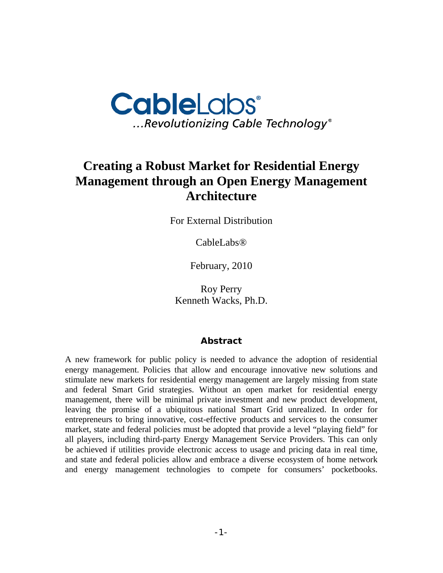

# **Creating a Robust Market for Residential Energy Management through an Open Energy Management Architecture**

For External Distribution

CableLabs®

February, 2010

Roy Perry Kenneth Wacks, Ph.D.

#### **Abstract**

A new framework for public policy is needed to advance the adoption of residential energy management. Policies that allow and encourage innovative new solutions and stimulate new markets for residential energy management are largely missing from state and federal Smart Grid strategies. Without an open market for residential energy management, there will be minimal private investment and new product development, leaving the promise of a ubiquitous national Smart Grid unrealized. In order for entrepreneurs to bring innovative, cost-effective products and services to the consumer market, state and federal policies must be adopted that provide a level "playing field" for all players, including third-party Energy Management Service Providers. This can only be achieved if utilities provide electronic access to usage and pricing data in real time, and state and federal policies allow and embrace a diverse ecosystem of home network and energy management technologies to compete for consumers' pocketbooks.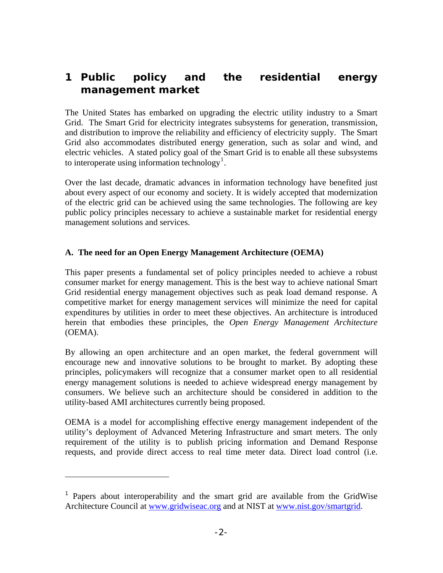## **1 Public policy and the residential energy management market**

The United States has embarked on upgrading the electric utility industry to a Smart Grid. The Smart Grid for electricity integrates subsystems for generation, transmission, and distribution to improve the reliability and efficiency of electricity supply. The Smart Grid also accommodates distributed energy generation, such as solar and wind, and electric vehicles. A stated policy goal of the Smart Grid is to enable all these subsystems to interoperate using information technology<sup>[1](#page-1-0)</sup>.

Over the last decade, dramatic advances in information technology have benefited just about every aspect of our economy and society. It is widely accepted that modernization of the electric grid can be achieved using the same technologies. The following are key public policy principles necessary to achieve a sustainable market for residential energy management solutions and services.

#### **A. The need for an Open Energy Management Architecture (OEMA)**

This paper presents a fundamental set of policy principles needed to achieve a robust consumer market for energy management. This is the best way to achieve national Smart Grid residential energy management objectives such as peak load demand response. A competitive market for energy management services will minimize the need for capital expenditures by utilities in order to meet these objectives. An architecture is introduced herein that embodies these principles, the *Open Energy Management Architecture* (OEMA).

By allowing an open architecture and an open market, the federal government will encourage new and innovative solutions to be brought to market. By adopting these principles, policymakers will recognize that a consumer market open to all residential energy management solutions is needed to achieve widespread energy management by consumers. We believe such an architecture should be considered in addition to the utility-based AMI architectures currently being proposed.

OEMA is a model for accomplishing effective energy management independent of the utility's deployment of Advanced Metering Infrastructure and smart meters. The only requirement of the utility is to publish pricing information and Demand Response requests, and provide direct access to real time meter data. Direct load control (i.e.

 $\overline{a}$ 

<span id="page-1-0"></span><sup>&</sup>lt;sup>1</sup> Papers about interoperability and the smart grid are available from the GridWise Architecture Council at [www.gridwiseac.org](http://www.gridwiseac.org/) and at NIST at [www.nist.gov/smartgrid.](http://www.nist.gov/smartgrid)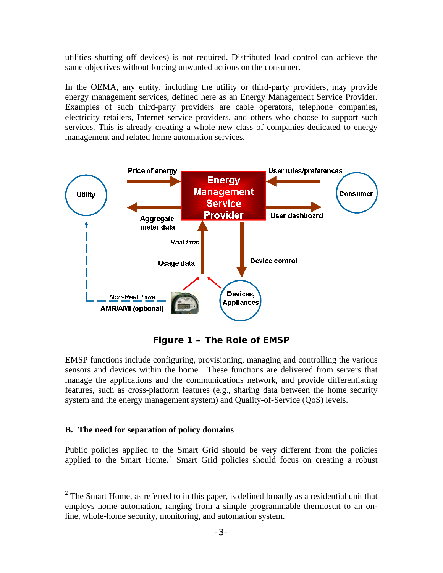utilities shutting off devices) is not required. Distributed load control can achieve the same objectives without forcing unwanted actions on the consumer.

In the OEMA, any entity, including the utility or third-party providers, may provide energy management services, defined here as an Energy Management Service Provider. Examples of such third-party providers are cable operators, telephone companies, electricity retailers, Internet service providers, and others who choose to support such services. This is already creating a whole new class of companies dedicated to energy management and related home automation services.



**Figure 1 – The Role of EMSP** 

EMSP functions include configuring, provisioning, managing and controlling the various sensors and devices within the home. These functions are delivered from servers that manage the applications and the communications network, and provide differentiating features, such as cross-platform features (e.g., sharing data between the home security system and the energy management system) and Quality-of-Service (QoS) levels.

#### **B. The need for separation of policy domains**

 $\overline{a}$ 

Public policies applied to the Smart Grid should be very different from the policies applied to the Smart Home.<sup>[2](#page-2-0)</sup> Smart Grid policies should focus on creating a robust

<span id="page-2-0"></span> $2^2$  The Smart Home, as referred to in this paper, is defined broadly as a residential unit that employs home automation, ranging from a simple programmable thermostat to an online, whole-home security, monitoring, and automation system.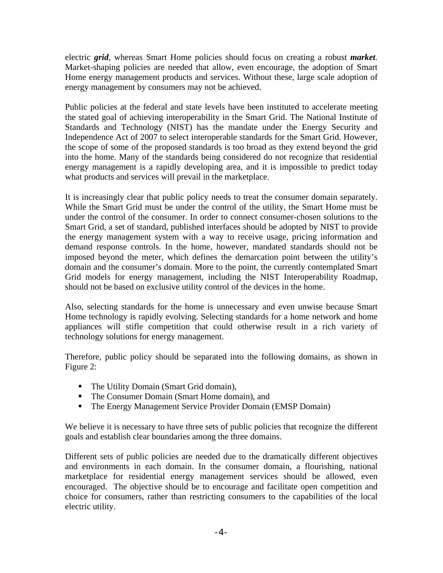electric *grid*, whereas Smart Home policies should focus on creating a robust *market.* Market-shaping policies are needed that allow, even encourage, the adoption of Smart Home energy management products and services. Without these, large scale adoption of energy management by consumers may not be achieved.

Public policies at the federal and state levels have been instituted to accelerate meeting the stated goal of achieving interoperability in the Smart Grid. The National Institute of Standards and Technology (NIST) has the mandate under the Energy Security and Independence Act of 2007 to select interoperable standards for the Smart Grid. However, the scope of some of the proposed standards is too broad as they extend beyond the grid into the home. Many of the standards being considered do not recognize that residential energy management is a rapidly developing area, and it is impossible to predict today what products and services will prevail in the marketplace.

It is increasingly clear that public policy needs to treat the consumer domain separately. While the Smart Grid must be under the control of the utility, the Smart Home must be under the control of the consumer. In order to connect consumer-chosen solutions to the Smart Grid, a set of standard, published interfaces should be adopted by NIST to provide the energy management system with a way to receive usage, pricing information and demand response controls. In the home, however, mandated standards should not be imposed beyond the meter, which defines the demarcation point between the utility's domain and the consumer's domain. More to the point, the currently contemplated Smart Grid models for energy management, including the NIST Interoperability Roadmap, should not be based on exclusive utility control of the devices in the home.

Also, selecting standards for the home is unnecessary and even unwise because Smart Home technology is rapidly evolving. Selecting standards for a home network and home appliances will stifle competition that could otherwise result in a rich variety of technology solutions for energy management.

Therefore, public policy should be separated into the following domains, as shown in Figure 2:

- The Utility Domain (Smart Grid domain),
- The Consumer Domain (Smart Home domain), and
- The Energy Management Service Provider Domain (EMSP Domain)

We believe it is necessary to have three sets of public policies that recognize the different goals and establish clear boundaries among the three domains.

Different sets of public policies are needed due to the dramatically different objectives and environments in each domain. In the consumer domain, a flourishing, national marketplace for residential energy management services should be allowed, even encouraged. The objective should be to encourage and facilitate open competition and choice for consumers, rather than restricting consumers to the capabilities of the local electric utility.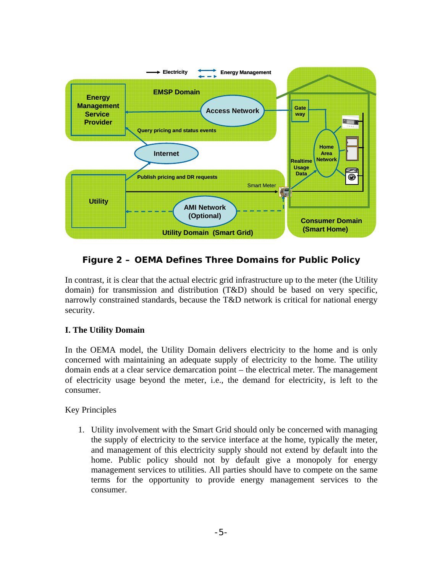

### **Figure 2 – OEMA Defines Three Domains for Public Policy**

In contrast, it is clear that the actual electric grid infrastructure up to the meter (the Utility domain) for transmission and distribution (T&D) should be based on very specific, narrowly constrained standards, because the T&D network is critical for national energy security.

#### **I. The Utility Domain**

In the OEMA model, the Utility Domain delivers electricity to the home and is only concerned with maintaining an adequate supply of electricity to the home. The utility domain ends at a clear service demarcation point – the electrical meter. The management of electricity usage beyond the meter, i.e., the demand for electricity, is left to the consumer.

Key Principles

1. Utility involvement with the Smart Grid should only be concerned with managing the supply of electricity to the service interface at the home, typically the meter, and management of this electricity supply should not extend by default into the home. Public policy should not by default give a monopoly for energy management services to utilities. All parties should have to compete on the same terms for the opportunity to provide energy management services to the consumer.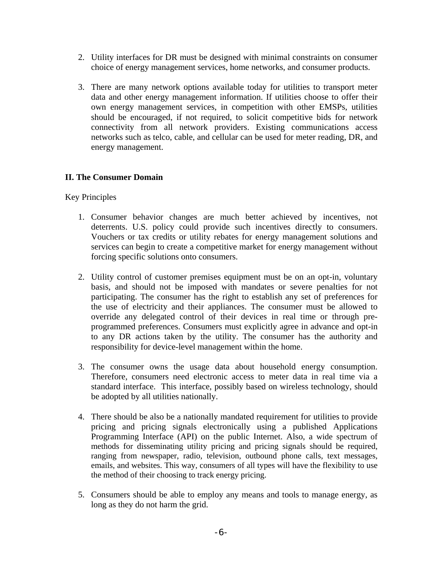- 2. Utility interfaces for DR must be designed with minimal constraints on consumer choice of energy management services, home networks, and consumer products.
- 3. There are many network options available today for utilities to transport meter data and other energy management information. If utilities choose to offer their own energy management services, in competition with other EMSPs, utilities should be encouraged, if not required, to solicit competitive bids for network connectivity from all network providers. Existing communications access networks such as telco, cable, and cellular can be used for meter reading, DR, and energy management.

#### **II. The Consumer Domain**

Key Principles

- 1. Consumer behavior changes are much better achieved by incentives, not deterrents. U.S. policy could provide such incentives directly to consumers. Vouchers or tax credits or utility rebates for energy management solutions and services can begin to create a competitive market for energy management without forcing specific solutions onto consumers.
- 2. Utility control of customer premises equipment must be on an opt-in, voluntary basis, and should not be imposed with mandates or severe penalties for not participating. The consumer has the right to establish any set of preferences for the use of electricity and their appliances. The consumer must be allowed to override any delegated control of their devices in real time or through preprogrammed preferences. Consumers must explicitly agree in advance and opt-in to any DR actions taken by the utility. The consumer has the authority and responsibility for device-level management within the home.
- 3. The consumer owns the usage data about household energy consumption. Therefore, consumers need electronic access to meter data in real time via a standard interface. This interface, possibly based on wireless technology, should be adopted by all utilities nationally.
- 4. There should be also be a nationally mandated requirement for utilities to provide pricing and pricing signals electronically using a published Applications Programming Interface (API) on the public Internet. Also, a wide spectrum of methods for disseminating utility pricing and pricing signals should be required, ranging from newspaper, radio, television, outbound phone calls, text messages, emails, and websites. This way, consumers of all types will have the flexibility to use the method of their choosing to track energy pricing.
- 5. Consumers should be able to employ any means and tools to manage energy, as long as they do not harm the grid.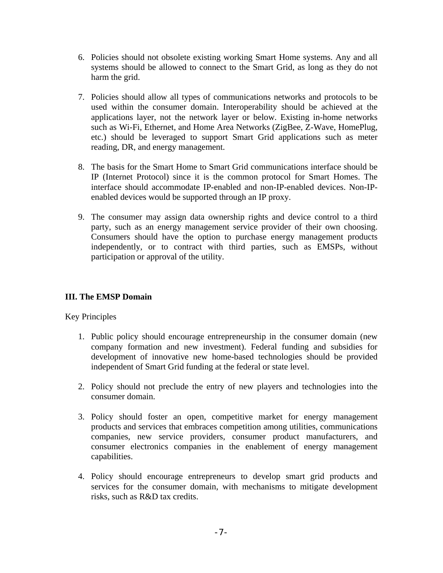- 6. Policies should not obsolete existing working Smart Home systems. Any and all systems should be allowed to connect to the Smart Grid, as long as they do not harm the grid.
- 7. Policies should allow all types of communications networks and protocols to be used within the consumer domain. Interoperability should be achieved at the applications layer, not the network layer or below. Existing in-home networks such as Wi-Fi, Ethernet, and Home Area Networks (ZigBee, Z-Wave, HomePlug, etc.) should be leveraged to support Smart Grid applications such as meter reading, DR, and energy management.
- 8. The basis for the Smart Home to Smart Grid communications interface should be IP (Internet Protocol) since it is the common protocol for Smart Homes. The interface should accommodate IP-enabled and non-IP-enabled devices. Non-IPenabled devices would be supported through an IP proxy.
- 9. The consumer may assign data ownership rights and device control to a third party, such as an energy management service provider of their own choosing. Consumers should have the option to purchase energy management products independently, or to contract with third parties, such as EMSPs, without participation or approval of the utility.

#### **III. The EMSP Domain**

Key Principles

- 1. Public policy should encourage entrepreneurship in the consumer domain (new company formation and new investment). Federal funding and subsidies for development of innovative new home-based technologies should be provided independent of Smart Grid funding at the federal or state level.
- 2. Policy should not preclude the entry of new players and technologies into the consumer domain.
- 3. Policy should foster an open, competitive market for energy management products and services that embraces competition among utilities, communications companies, new service providers, consumer product manufacturers, and consumer electronics companies in the enablement of energy management capabilities.
- 4. Policy should encourage entrepreneurs to develop smart grid products and services for the consumer domain, with mechanisms to mitigate development risks, such as R&D tax credits.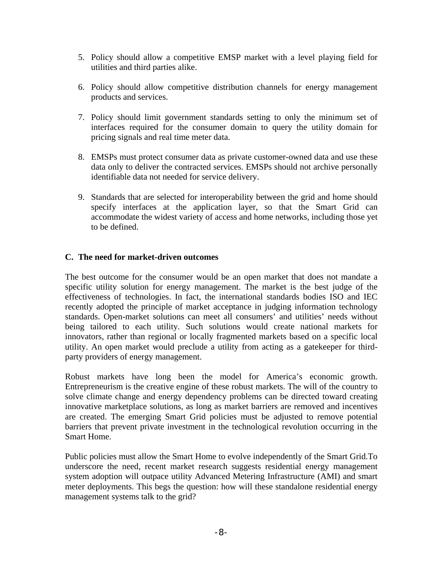- 5. Policy should allow a competitive EMSP market with a level playing field for utilities and third parties alike.
- 6. Policy should allow competitive distribution channels for energy management products and services.
- 7. Policy should limit government standards setting to only the minimum set of interfaces required for the consumer domain to query the utility domain for pricing signals and real time meter data.
- 8. EMSPs must protect consumer data as private customer-owned data and use these data only to deliver the contracted services. EMSPs should not archive personally identifiable data not needed for service delivery.
- 9. Standards that are selected for interoperability between the grid and home should specify interfaces at the application layer, so that the Smart Grid can accommodate the widest variety of access and home networks, including those yet to be defined.

#### **C. The need for market-driven outcomes**

The best outcome for the consumer would be an open market that does not mandate a specific utility solution for energy management. The market is the best judge of the effectiveness of technologies. In fact, the international standards bodies ISO and IEC recently adopted the principle of market acceptance in judging information technology standards. Open-market solutions can meet all consumers' and utilities' needs without being tailored to each utility. Such solutions would create national markets for innovators, rather than regional or locally fragmented markets based on a specific local utility. An open market would preclude a utility from acting as a gatekeeper for thirdparty providers of energy management.

Robust markets have long been the model for America's economic growth. Entrepreneurism is the creative engine of these robust markets. The will of the country to solve climate change and energy dependency problems can be directed toward creating innovative marketplace solutions, as long as market barriers are removed and incentives are created. The emerging Smart Grid policies must be adjusted to remove potential barriers that prevent private investment in the technological revolution occurring in the Smart Home.

Public policies must allow the Smart Home to evolve independently of the Smart Grid.To underscore the need, recent market research suggests residential energy management system adoption will outpace utility Advanced Metering Infrastructure (AMI) and smart meter deployments. This begs the question: how will these standalone residential energy management systems talk to the grid?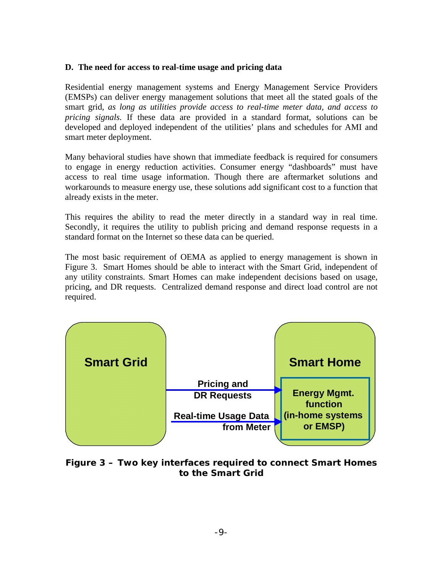#### **D. The need for access to real-time usage and pricing data**

Residential energy management systems and Energy Management Service Providers (EMSPs) can deliver energy management solutions that meet all the stated goals of the smart grid, *as long as utilities provide access to real-time meter data, and access to pricing signals.* If these data are provided in a standard format, solutions can be developed and deployed independent of the utilities' plans and schedules for AMI and smart meter deployment.

Many behavioral studies have shown that immediate feedback is required for consumers to engage in energy reduction activities. Consumer energy "dashboards" must have access to real time usage information. Though there are aftermarket solutions and workarounds to measure energy use, these solutions add significant cost to a function that already exists in the meter.

This requires the ability to read the meter directly in a standard way in real time. Secondly, it requires the utility to publish pricing and demand response requests in a standard format on the Internet so these data can be queried.

The most basic requirement of OEMA as applied to energy management is shown in Figure 3. Smart Homes should be able to interact with the Smart Grid, independent of any utility constraints. Smart Homes can make independent decisions based on usage, pricing, and DR requests. Centralized demand response and direct load control are not required.

| <b>Smart Grid</b> |                                           | <b>Smart Home</b>               |
|-------------------|-------------------------------------------|---------------------------------|
|                   | <b>Pricing and</b><br><b>DR Requests</b>  | <b>Energy Mgmt.</b><br>function |
|                   | <b>Real-time Usage Data</b><br>from Meter | (in-home systems<br>or EMSP)    |
|                   |                                           |                                 |

### **Figure 3 – Two key interfaces required to connect Smart Homes to the Smart Grid**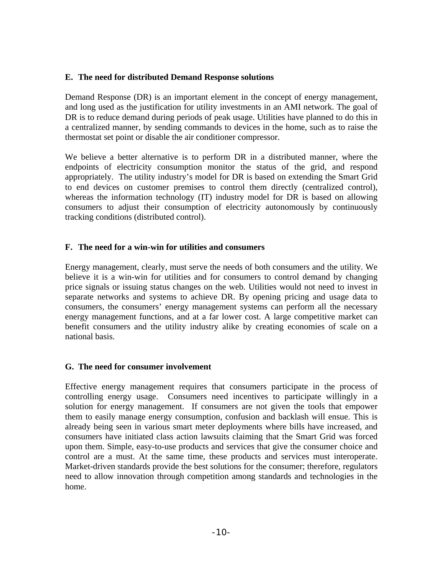#### **E. The need for distributed Demand Response solutions**

Demand Response (DR) is an important element in the concept of energy management, and long used as the justification for utility investments in an AMI network. The goal of DR is to reduce demand during periods of peak usage. Utilities have planned to do this in a centralized manner, by sending commands to devices in the home, such as to raise the thermostat set point or disable the air conditioner compressor.

We believe a better alternative is to perform DR in a distributed manner, where the endpoints of electricity consumption monitor the status of the grid, and respond appropriately. The utility industry's model for DR is based on extending the Smart Grid to end devices on customer premises to control them directly (centralized control), whereas the information technology (IT) industry model for DR is based on allowing consumers to adjust their consumption of electricity autonomously by continuously tracking conditions (distributed control).

#### **F. The need for a win-win for utilities and consumers**

Energy management, clearly, must serve the needs of both consumers and the utility. We believe it is a win-win for utilities and for consumers to control demand by changing price signals or issuing status changes on the web. Utilities would not need to invest in separate networks and systems to achieve DR. By opening pricing and usage data to consumers, the consumers' energy management systems can perform all the necessary energy management functions, and at a far lower cost. A large competitive market can benefit consumers and the utility industry alike by creating economies of scale on a national basis.

#### **G. The need for consumer involvement**

Effective energy management requires that consumers participate in the process of controlling energy usage. Consumers need incentives to participate willingly in a solution for energy management. If consumers are not given the tools that empower them to easily manage energy consumption, confusion and backlash will ensue. This is already being seen in various smart meter deployments where bills have increased, and consumers have initiated class action lawsuits claiming that the Smart Grid was forced upon them. Simple, easy-to-use products and services that give the consumer choice and control are a must. At the same time, these products and services must interoperate. Market-driven standards provide the best solutions for the consumer; therefore, regulators need to allow innovation through competition among standards and technologies in the home.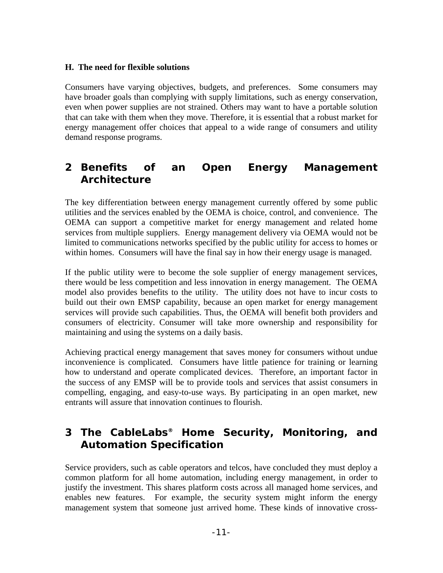#### **H. The need for flexible solutions**

Consumers have varying objectives, budgets, and preferences. Some consumers may have broader goals than complying with supply limitations, such as energy conservation, even when power supplies are not strained. Others may want to have a portable solution that can take with them when they move. Therefore, it is essential that a robust market for energy management offer choices that appeal to a wide range of consumers and utility demand response programs.

### **2 Benefits of an Open Energy Management Architecture**

The key differentiation between energy management currently offered by some public utilities and the services enabled by the OEMA is choice, control, and convenience. The OEMA can support a competitive market for energy management and related home services from multiple suppliers. Energy management delivery via OEMA would not be limited to communications networks specified by the public utility for access to homes or within homes. Consumers will have the final say in how their energy usage is managed.

If the public utility were to become the sole supplier of energy management services, there would be less competition and less innovation in energy management. The OEMA model also provides benefits to the utility. The utility does not have to incur costs to build out their own EMSP capability, because an open market for energy management services will provide such capabilities. Thus, the OEMA will benefit both providers and consumers of electricity. Consumer will take more ownership and responsibility for maintaining and using the systems on a daily basis.

Achieving practical energy management that saves money for consumers without undue inconvenience is complicated. Consumers have little patience for training or learning how to understand and operate complicated devices. Therefore, an important factor in the success of any EMSP will be to provide tools and services that assist consumers in compelling, engaging, and easy-to-use ways. By participating in an open market, new entrants will assure that innovation continues to flourish.

# **3 The CableLabs® Home Security, Monitoring, and Automation Specification**

Service providers, such as cable operators and telcos, have concluded they must deploy a common platform for all home automation, including energy management, in order to justify the investment. This shares platform costs across all managed home services, and enables new features. For example, the security system might inform the energy management system that someone just arrived home. These kinds of innovative cross-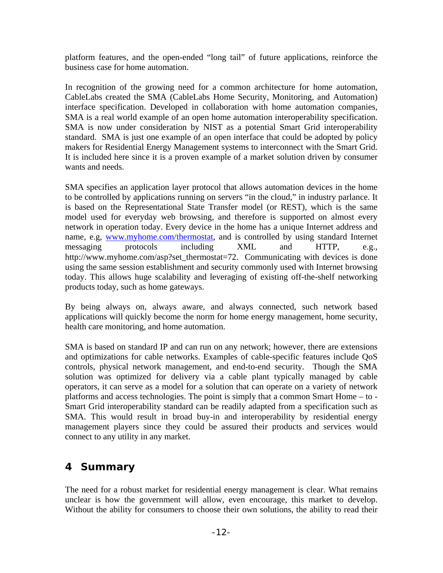platform features, and the open-ended "long tail" of future applications, reinforce the business case for home automation.

In recognition of the growing need for a common architecture for home automation, CableLabs created the SMA (CableLabs Home Security, Monitoring, and Automation) interface specification. Developed in collaboration with home automation companies, SMA is a real world example of an open home automation interoperability specification. SMA is now under consideration by NIST as a potential Smart Grid interoperability standard. SMA is just one example of an open interface that could be adopted by policy makers for Residential Energy Management systems to interconnect with the Smart Grid. It is included here since it is a proven example of a market solution driven by consumer wants and needs.

SMA specifies an application layer protocol that allows automation devices in the home to be controlled by applications running on servers "in the cloud," in industry parlance. It is based on the Representational State Transfer model (or REST), which is the same model used for everyday web browsing, and therefore is supported on almost every network in operation today. Every device in the home has a unique Internet address and name, e.g, [www.myhome.com/thermostat,](http://www.myhome.com/thermostat) and is controlled by using standard Internet messaging protocols including XML and HTTP, e.g., http://www.myhome.com/asp?set\_thermostat=72. Communicating with devices is done using the same session establishment and security commonly used with Internet browsing today. This allows huge scalability and leveraging of existing off-the-shelf networking products today, such as home gateways.

By being always on, always aware, and always connected, such network based applications will quickly become the norm for home energy management, home security, health care monitoring, and home automation.

SMA is based on standard IP and can run on any network; however, there are extensions and optimizations for cable networks. Examples of cable-specific features include QoS controls, physical network management, and end-to-end security. Though the SMA solution was optimized for delivery via a cable plant typically managed by cable operators, it can serve as a model for a solution that can operate on a variety of network platforms and access technologies. The point is simply that a common Smart Home – to - Smart Grid interoperability standard can be readily adapted from a specification such as SMA. This would result in broad buy-in and interoperability by residential energy management players since they could be assured their products and services would connect to any utility in any market.

### **4 Summary**

The need for a robust market for residential energy management is clear. What remains unclear is how the government will allow, even encourage, this market to develop. Without the ability for consumers to choose their own solutions, the ability to read their